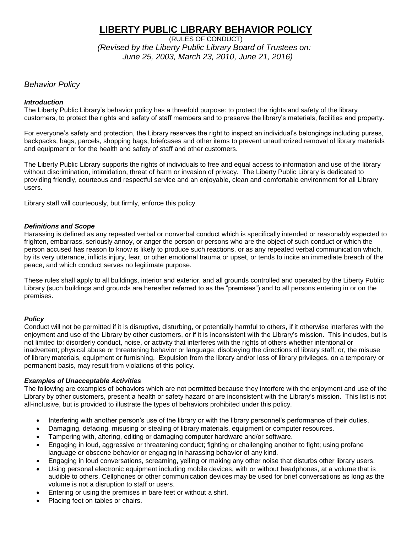# **LIBERTY PUBLIC LIBRARY BEHAVIOR POLICY**

(RULES OF CONDUCT)  *(Revised by the Liberty Public Library Board of Trustees on: June 25, 2003, March 23, 2010, June 21, 2016)*

# *Behavior Policy*

#### *Introduction*

The Liberty Public Library's behavior policy has a threefold purpose: to protect the rights and safety of the library customers, to protect the rights and safety of staff members and to preserve the library's materials, facilities and property.

For everyone's safety and protection, the Library reserves the right to inspect an individual's belongings including purses, backpacks, bags, parcels, shopping bags, briefcases and other items to prevent unauthorized removal of library materials and equipment or for the health and safety of staff and other customers.

The Liberty Public Library supports the rights of individuals to free and equal access to information and use of the library without discrimination, intimidation, threat of harm or invasion of privacy. The Liberty Public Library is dedicated to providing friendly, courteous and respectful service and an enjoyable, clean and comfortable environment for all Library users.

Library staff will courteously, but firmly, enforce this policy.

#### *Definitions and Scope*

Harassing is defined as any repeated verbal or nonverbal conduct which is specifically intended or reasonably expected to frighten, embarrass, seriously annoy, or anger the person or persons who are the object of such conduct or which the person accused has reason to know is likely to produce such reactions, or as any repeated verbal communication which, by its very utterance, inflicts injury, fear, or other emotional trauma or upset, or tends to incite an immediate breach of the peace, and which conduct serves no legitimate purpose.

These rules shall apply to all buildings, interior and exterior, and all grounds controlled and operated by the Liberty Public Library (such buildings and grounds are hereafter referred to as the "premises") and to all persons entering in or on the premises.

## *Policy*

Conduct will not be permitted if it is disruptive, disturbing, or potentially harmful to others, if it otherwise interferes with the enjoyment and use of the Library by other customers, or if it is inconsistent with the Library's mission. This includes, but is not limited to: disorderly conduct, noise, or activity that interferes with the rights of others whether intentional or inadvertent; physical abuse or threatening behavior or language; disobeying the directions of library staff; or, the misuse of library materials, equipment or furnishing. Expulsion from the library and/or loss of library privileges, on a temporary or permanent basis, may result from violations of this policy.

## *Examples of Unacceptable Activities*

The following are examples of behaviors which are not permitted because they interfere with the enjoyment and use of the Library by other customers, present a health or safety hazard or are inconsistent with the Library's mission. This list is not all-inclusive, but is provided to illustrate the types of behaviors prohibited under this policy.

- Interfering with another person's use of the library or with the library personnel's performance of their duties.
- Damaging, defacing, misusing or stealing of library materials, equipment or computer resources.
- Tampering with, altering, editing or damaging computer hardware and/or software.
- Engaging in loud, aggressive or threatening conduct; fighting or challenging another to fight; using profane language or obscene behavior or engaging in harassing behavior of any kind.
- Engaging in loud conversations, screaming, yelling or making any other noise that disturbs other library users.
- Using personal electronic equipment including mobile devices, with or without headphones, at a volume that is audible to others. Cellphones or other communication devices may be used for brief conversations as long as the volume is not a disruption to staff or users.
- Entering or using the premises in bare feet or without a shirt.
- Placing feet on tables or chairs.